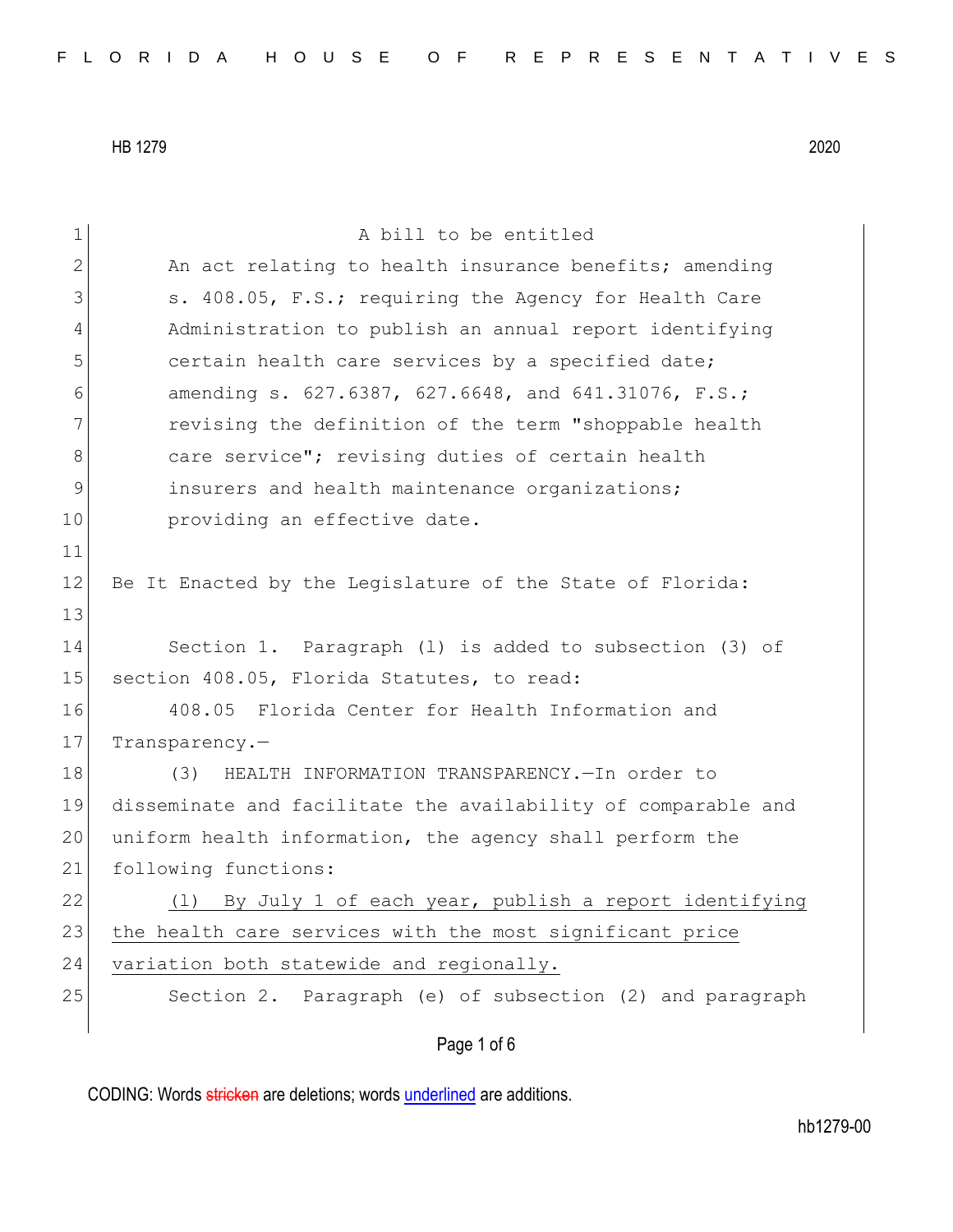| $\mathbf 1$ | A bill to be entitled                                         |
|-------------|---------------------------------------------------------------|
| 2           | An act relating to health insurance benefits; amending        |
| 3           | s. 408.05, F.S.; requiring the Agency for Health Care         |
| 4           | Administration to publish an annual report identifying        |
| 5           | certain health care services by a specified date;             |
| 6           | amending s. 627.6387, 627.6648, and 641.31076, F.S.;          |
| 7           | revising the definition of the term "shoppable health         |
| 8           | care service"; revising duties of certain health              |
| $\mathsf 9$ | insurers and health maintenance organizations;                |
| 10          | providing an effective date.                                  |
| 11          |                                                               |
| 12          | Be It Enacted by the Legislature of the State of Florida:     |
| 13          |                                                               |
| 14          | Section 1. Paragraph (1) is added to subsection (3) of        |
| 15          | section 408.05, Florida Statutes, to read:                    |
| 16          | 408.05 Florida Center for Health Information and              |
| 17          | Transparency.                                                 |
| 18          | HEALTH INFORMATION TRANSPARENCY. - In order to<br>(3)         |
| 19          | disseminate and facilitate the availability of comparable and |
| 20          | uniform health information, the agency shall perform the      |
| 21          | following functions:                                          |
| 22          | By July 1 of each year, publish a report identifying<br>(1)   |
| 23          | the health care services with the most significant price      |
| 24          | variation both statewide and regionally.                      |
| 25          | Section 2. Paragraph (e) of subsection (2) and paragraph      |
|             | Page 1 of 6                                                   |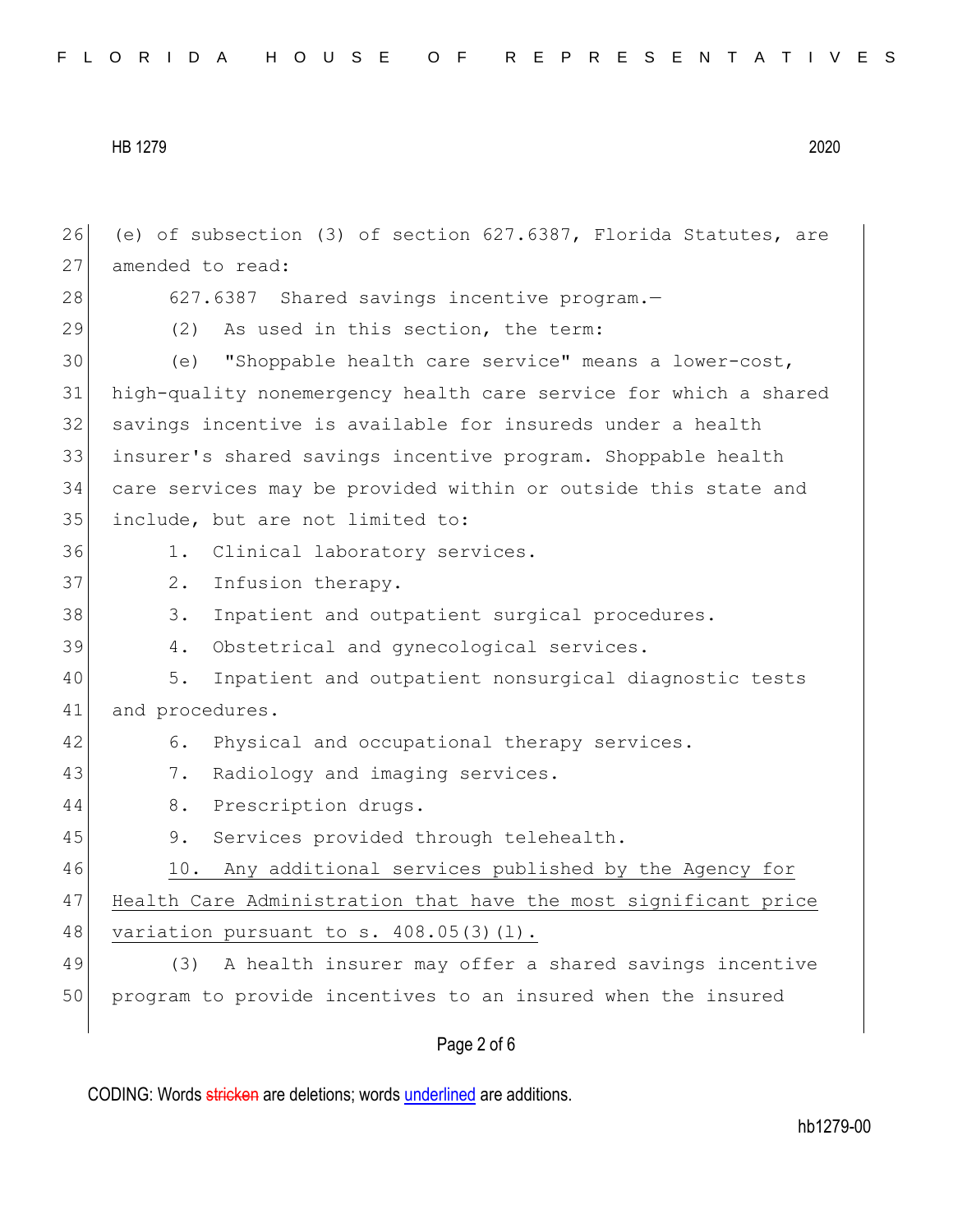| 26 | (e) of subsection (3) of section 627.6387, Florida Statutes, are |
|----|------------------------------------------------------------------|
| 27 | amended to read:                                                 |
| 28 | 627.6387 Shared savings incentive program.-                      |
| 29 | (2) As used in this section, the term:                           |
| 30 | "Shoppable health care service" means a lower-cost,<br>(e)       |
| 31 | high-quality nonemergency health care service for which a shared |
| 32 | savings incentive is available for insureds under a health       |
| 33 | insurer's shared savings incentive program. Shoppable health     |
| 34 | care services may be provided within or outside this state and   |
| 35 | include, but are not limited to:                                 |
| 36 | Clinical laboratory services.<br>1.                              |
| 37 | Infusion therapy.<br>$2$ .                                       |
| 38 | 3.<br>Inpatient and outpatient surgical procedures.              |
| 39 | Obstetrical and gynecological services.<br>4.                    |
| 40 | 5.<br>Inpatient and outpatient nonsurgical diagnostic tests      |
| 41 | and procedures.                                                  |
| 42 | Physical and occupational therapy services.<br>6.                |
| 43 | 7.<br>Radiology and imaging services.                            |
| 44 | Prescription drugs.<br>8.                                        |
| 45 | Services provided through telehealth.<br>9.                      |
| 46 | 10. Any additional services published by the Agency for          |
| 47 | Health Care Administration that have the most significant price  |
| 48 | variation pursuant to s. $408.05(3)(1)$ .                        |
| 49 | (3) A health insurer may offer a shared savings incentive        |
| 50 | program to provide incentives to an insured when the insured     |
|    |                                                                  |

## Page 2 of 6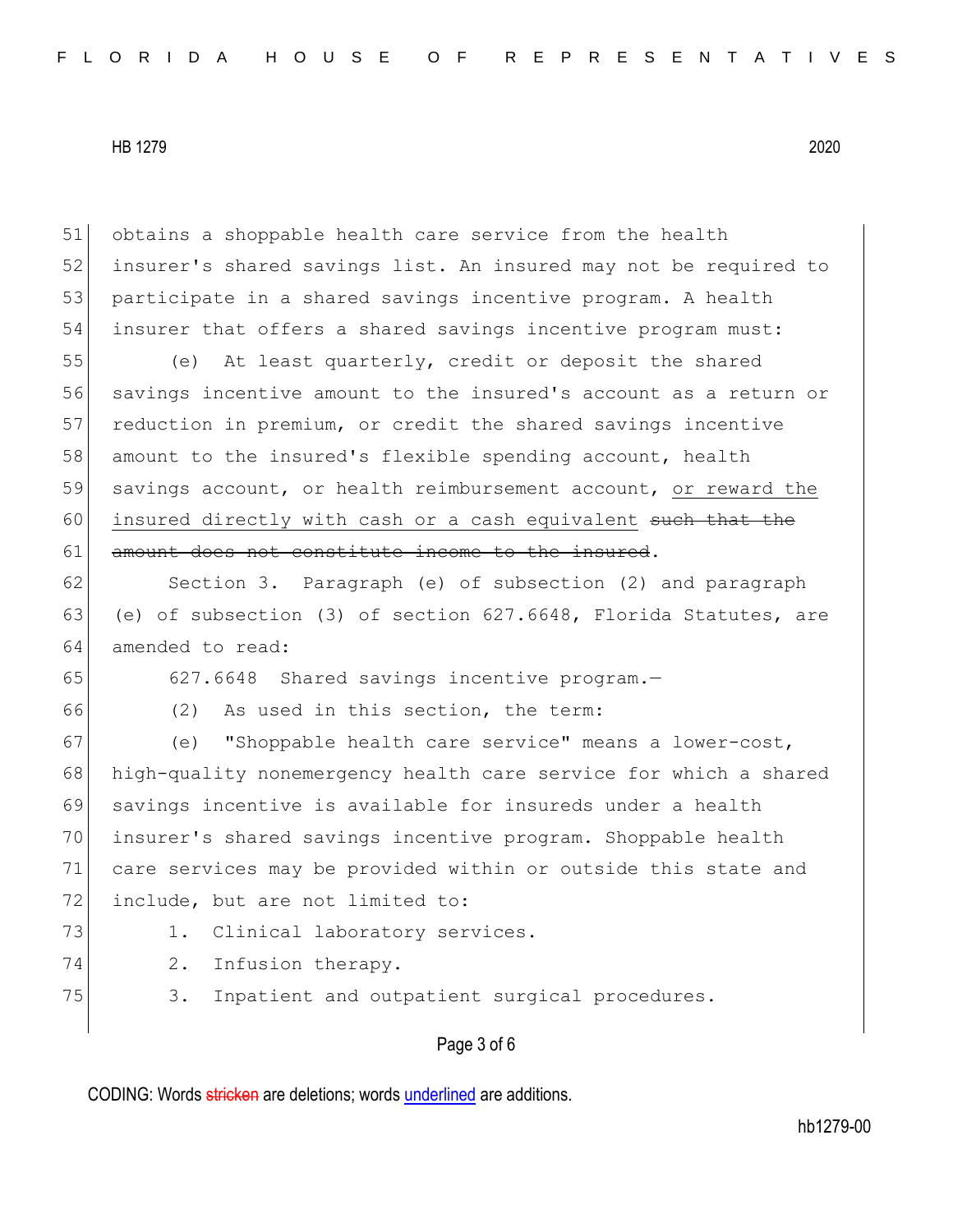obtains a shoppable health care service from the health insurer's shared savings list. An insured may not be required to 53 participate in a shared savings incentive program. A health insurer that offers a shared savings incentive program must:

55 (e) At least quarterly, credit or deposit the shared 56 savings incentive amount to the insured's account as a return or 57 reduction in premium, or credit the shared savings incentive 58 amount to the insured's flexible spending account, health 59 savings account, or health reimbursement account, or reward the 60 insured directly with cash or a cash equivalent such that the 61 amount does not constitute income to the insured.

62 Section 3. Paragraph (e) of subsection (2) and paragraph 63 (e) of subsection (3) of section  $627.6648$ , Florida Statutes, are 64 amended to read:

65 627.6648 Shared savings incentive program.—

66 (2) As used in this section, the term:

67 (e) "Shoppable health care service" means a lower-cost, high-quality nonemergency health care service for which a shared savings incentive is available for insureds under a health insurer's shared savings incentive program. Shoppable health care services may be provided within or outside this state and 72 include, but are not limited to:

73 1. Clinical laboratory services.

74 2. Infusion therapy.

75 3. Inpatient and outpatient surgical procedures.

## Page 3 of 6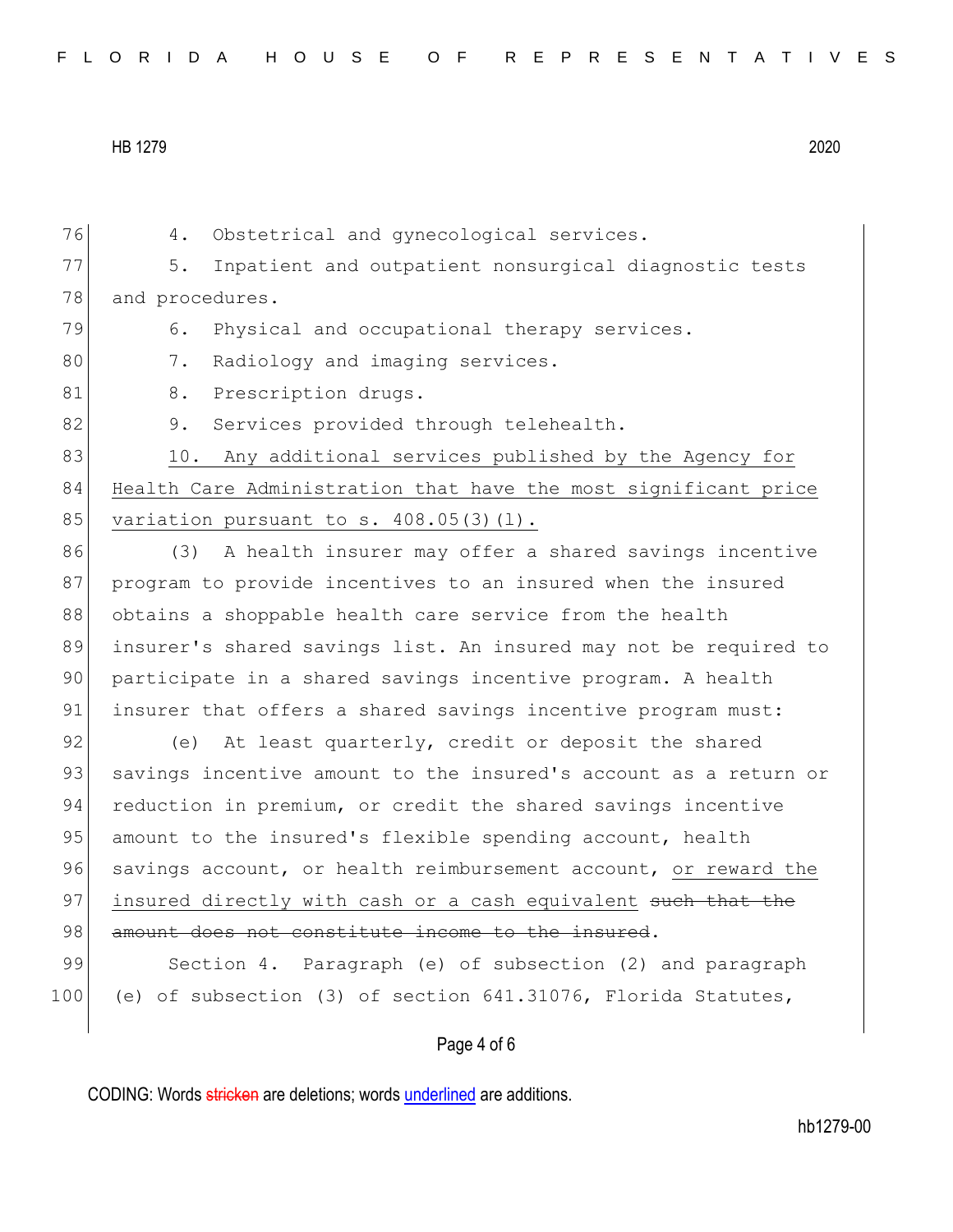| FLORIDA HOUSE OF REPRESENTATIVES |  |
|----------------------------------|--|
|----------------------------------|--|

Page 4 of 6 76 4. Obstetrical and gynecological services. 77 5. Inpatient and outpatient nonsurgical diagnostic tests 78 and procedures. 79 6. Physical and occupational therapy services. 80 7. Radiology and imaging services. 81 8. Prescription drugs. 82 9. Services provided through telehealth. 83 10. Any additional services published by the Agency for 84 Health Care Administration that have the most significant price 85 variation pursuant to s. 408.05(3)(1). 86 (3) A health insurer may offer a shared savings incentive 87 program to provide incentives to an insured when the insured 88 obtains a shoppable health care service from the health 89 insurer's shared savings list. An insured may not be required to 90 participate in a shared savings incentive program. A health 91 insurer that offers a shared savings incentive program must: 92 (e) At least quarterly, credit or deposit the shared 93 savings incentive amount to the insured's account as a return or 94 reduction in premium, or credit the shared savings incentive 95 amount to the insured's flexible spending account, health 96 savings account, or health reimbursement account, or reward the 97 insured directly with cash or a cash equivalent such that the 98 amount does not constitute income to the insured. 99 Section 4. Paragraph (e) of subsection (2) and paragraph 100 (e) of subsection (3) of section 641.31076, Florida Statutes,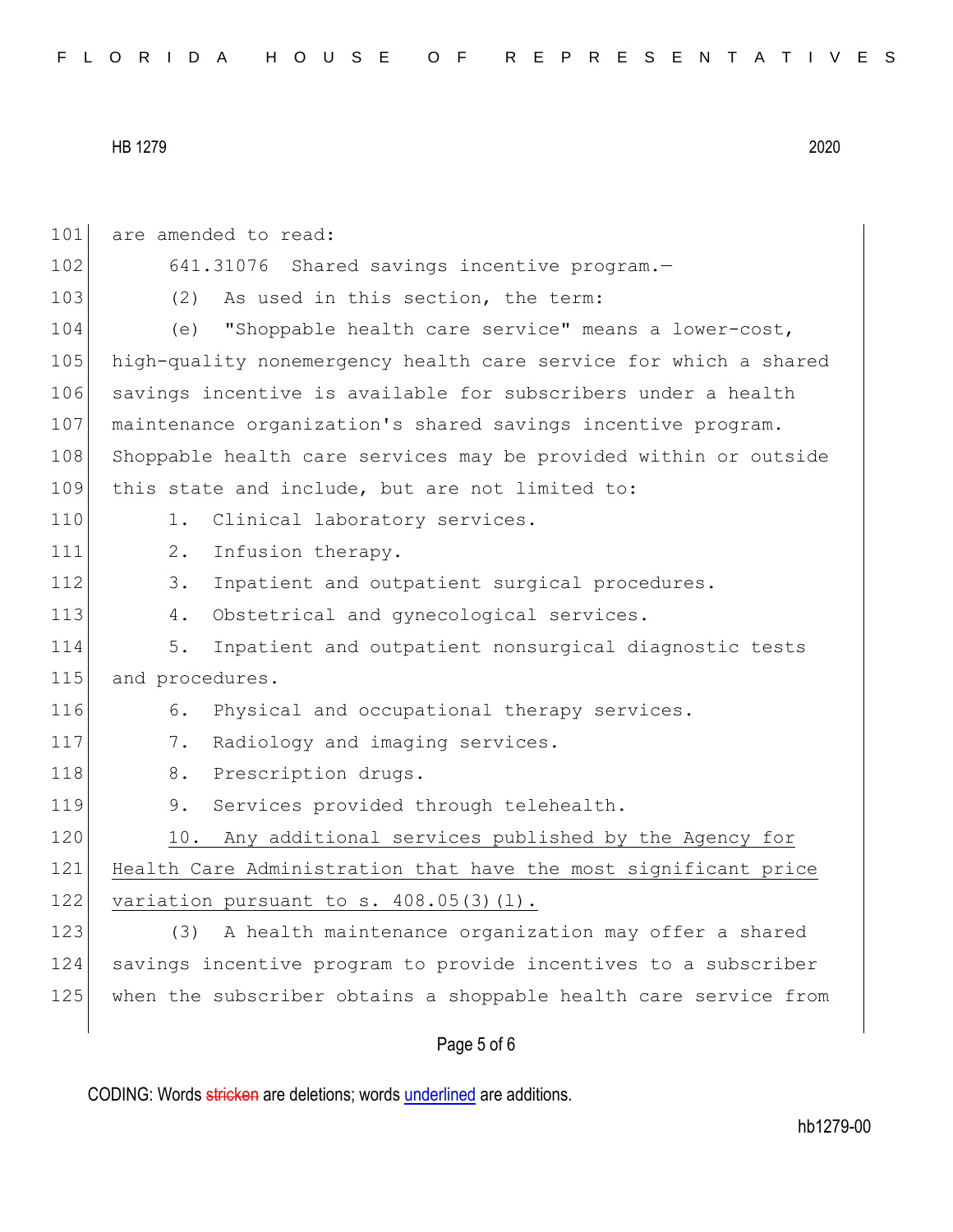101 are amended to read: 102 641.31076 Shared savings incentive program. 103 (2) As used in this section, the term: 104 (e) "Shoppable health care service" means a lower-cost, 105 high-quality nonemergency health care service for which a shared 106 savings incentive is available for subscribers under a health 107 maintenance organization's shared savings incentive program. 108 Shoppable health care services may be provided within or outside 109 this state and include, but are not limited to: 110 1. Clinical laboratory services. 111 2. Infusion therapy. 112 3. Inpatient and outpatient surgical procedures. 113 4. Obstetrical and gynecological services. 114 5. Inpatient and outpatient nonsurgical diagnostic tests 115 and procedures. 116 6. Physical and occupational therapy services. 117 7. Radiology and imaging services. 118 8. Prescription drugs. 119 9. Services provided through telehealth. 120 10. Any additional services published by the Agency for 121 Health Care Administration that have the most significant price 122 variation pursuant to s.  $408.05(3)(1)$ . 123 (3) A health maintenance organization may offer a shared 124 savings incentive program to provide incentives to a subscriber 125 when the subscriber obtains a shoppable health care service from

## Page 5 of 6